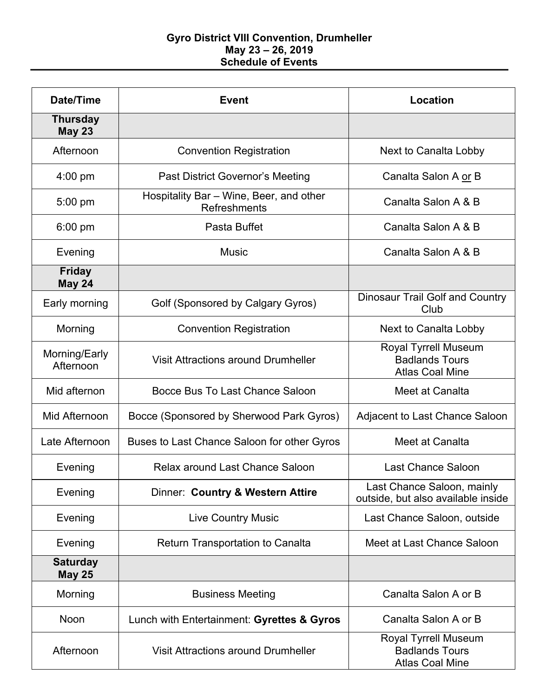## **Gyro District VIII Convention, Drumheller May 23 – 26, 2019 Schedule of Events**

| <b>Date/Time</b>                 | <b>Event</b>                                                   | Location                                                                |
|----------------------------------|----------------------------------------------------------------|-------------------------------------------------------------------------|
| <b>Thursday</b><br><b>May 23</b> |                                                                |                                                                         |
| Afternoon                        | <b>Convention Registration</b>                                 | Next to Canalta Lobby                                                   |
| $4:00$ pm                        | <b>Past District Governor's Meeting</b>                        | Canalta Salon A or B                                                    |
| $5:00$ pm                        | Hospitality Bar - Wine, Beer, and other<br><b>Refreshments</b> | Canalta Salon A & B                                                     |
| $6:00$ pm                        | Pasta Buffet                                                   | Canalta Salon A & B                                                     |
| Evening                          | Music                                                          | Canalta Salon A & B                                                     |
| <b>Friday</b><br><b>May 24</b>   |                                                                |                                                                         |
| Early morning                    | Golf (Sponsored by Calgary Gyros)                              | <b>Dinosaur Trail Golf and Country</b><br>Club                          |
| Morning                          | <b>Convention Registration</b>                                 | Next to Canalta Lobby                                                   |
| Morning/Early<br>Afternoon       | <b>Visit Attractions around Drumheller</b>                     | Royal Tyrrell Museum<br><b>Badlands Tours</b><br><b>Atlas Coal Mine</b> |
| Mid afternon                     | Bocce Bus To Last Chance Saloon                                | Meet at Canalta                                                         |
| Mid Afternoon                    | Bocce (Sponsored by Sherwood Park Gyros)                       | Adjacent to Last Chance Saloon                                          |
| Late Afternoon                   | Buses to Last Chance Saloon for other Gyros                    | Meet at Canalta                                                         |
| Evening                          | Relax around Last Chance Saloon                                | <b>Last Chance Saloon</b>                                               |
| Evening                          | Dinner: Country & Western Attire                               | Last Chance Saloon, mainly<br>outside, but also available inside        |
| Evening                          | <b>Live Country Music</b>                                      | Last Chance Saloon, outside                                             |
| Evening                          | <b>Return Transportation to Canalta</b>                        | Meet at Last Chance Saloon                                              |
| <b>Saturday</b><br><b>May 25</b> |                                                                |                                                                         |
| Morning                          | <b>Business Meeting</b>                                        | Canalta Salon A or B                                                    |
| Noon                             | Lunch with Entertainment: Gyrettes & Gyros                     | Canalta Salon A or B                                                    |
| Afternoon                        | <b>Visit Attractions around Drumheller</b>                     | Royal Tyrrell Museum<br><b>Badlands Tours</b><br><b>Atlas Coal Mine</b> |